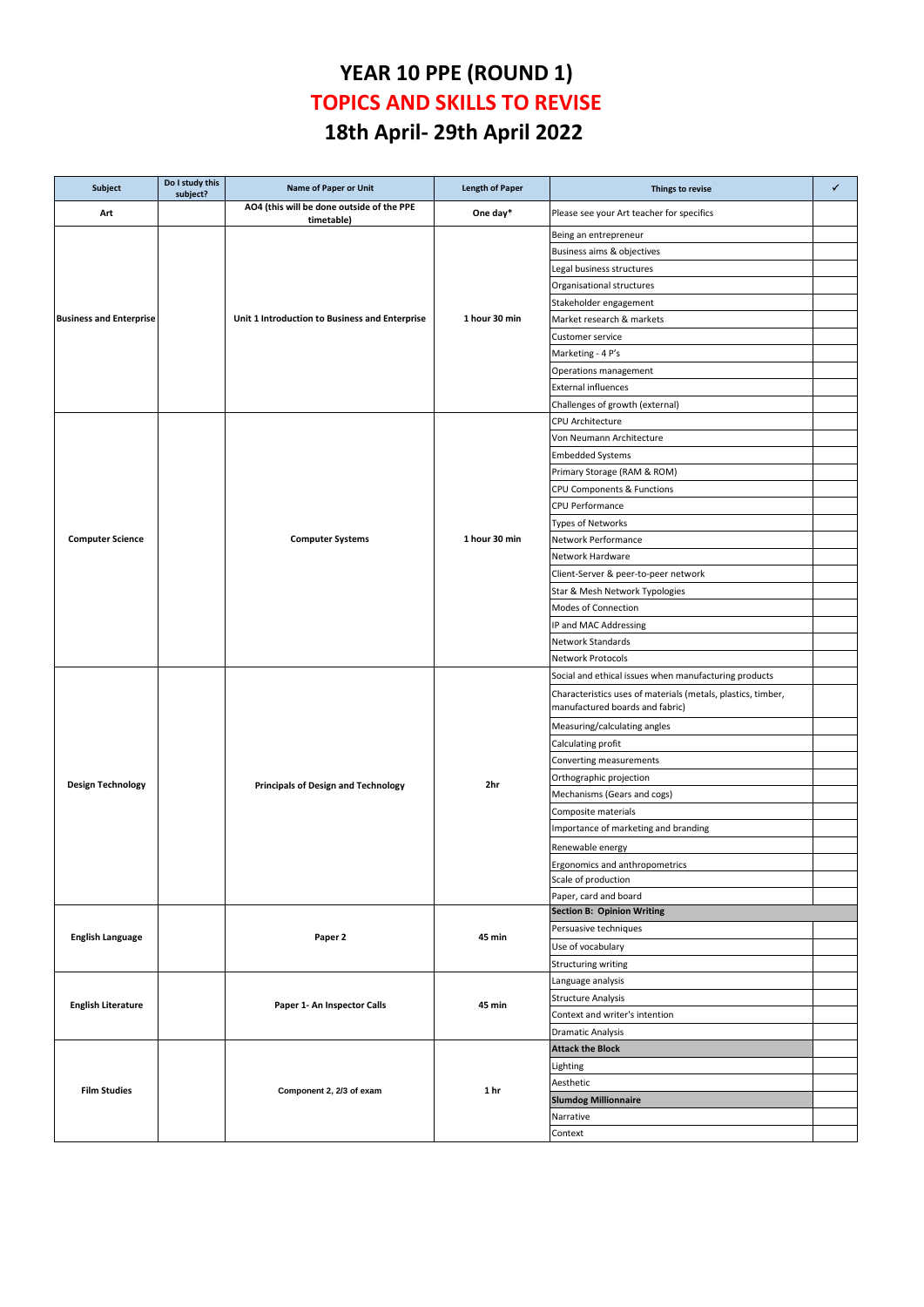## **YEAR 10 PPE (ROUND 1) TOPICS AND SKILLS TO REVISE 18th April- 29th April 2022**

| Subject                        | Do I study this<br>subject? | <b>Name of Paper or Unit</b>                            | <b>Length of Paper</b> | Things to revise                                                                                | ✓ |
|--------------------------------|-----------------------------|---------------------------------------------------------|------------------------|-------------------------------------------------------------------------------------------------|---|
| Art                            |                             | AO4 (this will be done outside of the PPE<br>timetable) | One day*               | Please see your Art teacher for specifics                                                       |   |
|                                |                             |                                                         |                        | Being an entrepreneur                                                                           |   |
|                                |                             |                                                         |                        | Business aims & objectives                                                                      |   |
|                                |                             |                                                         |                        | Legal business structures                                                                       |   |
|                                |                             |                                                         |                        | Organisational structures                                                                       |   |
|                                |                             |                                                         |                        | Stakeholder engagement                                                                          |   |
| <b>Business and Enterprise</b> |                             | Unit 1 Introduction to Business and Enterprise          | 1 hour 30 min          | Market research & markets                                                                       |   |
|                                |                             |                                                         |                        | Customer service                                                                                |   |
|                                |                             |                                                         |                        | Marketing - 4 P's                                                                               |   |
|                                |                             |                                                         |                        | Operations management                                                                           |   |
|                                |                             |                                                         |                        | <b>External influences</b>                                                                      |   |
|                                |                             |                                                         |                        | Challenges of growth (external)                                                                 |   |
|                                |                             |                                                         |                        | CPU Architecture                                                                                |   |
|                                |                             |                                                         |                        | Von Neumann Architecture                                                                        |   |
|                                |                             |                                                         |                        | <b>Embedded Systems</b>                                                                         |   |
|                                |                             |                                                         |                        | Primary Storage (RAM & ROM)                                                                     |   |
|                                |                             |                                                         |                        | CPU Components & Functions                                                                      |   |
|                                |                             |                                                         |                        | CPU Performance                                                                                 |   |
|                                |                             |                                                         |                        | Types of Networks                                                                               |   |
| <b>Computer Science</b>        |                             | <b>Computer Systems</b>                                 | 1 hour 30 min          | Network Performance                                                                             |   |
|                                |                             |                                                         |                        | Network Hardware                                                                                |   |
|                                |                             |                                                         |                        | Client-Server & peer-to-peer network                                                            |   |
|                                |                             |                                                         |                        | Star & Mesh Network Typologies                                                                  |   |
|                                |                             |                                                         |                        | Modes of Connection                                                                             |   |
|                                |                             |                                                         |                        |                                                                                                 |   |
|                                |                             |                                                         |                        | IP and MAC Addressing                                                                           |   |
|                                |                             |                                                         |                        | Network Standards                                                                               |   |
|                                |                             |                                                         |                        | Network Protocols                                                                               |   |
|                                |                             |                                                         |                        | Social and ethical issues when manufacturing products                                           |   |
|                                |                             |                                                         |                        | Characteristics uses of materials (metals, plastics, timber,<br>manufactured boards and fabric) |   |
|                                |                             |                                                         |                        | Measuring/calculating angles                                                                    |   |
|                                |                             |                                                         |                        | Calculating profit                                                                              |   |
|                                |                             |                                                         |                        | Converting measurements                                                                         |   |
|                                |                             |                                                         |                        | Orthographic projection                                                                         |   |
| <b>Design Technology</b>       |                             | <b>Principals of Design and Technology</b>              | 2hr                    | Mechanisms (Gears and cogs)                                                                     |   |
|                                |                             |                                                         |                        | Composite materials                                                                             |   |
|                                |                             |                                                         |                        | Importance of marketing and branding                                                            |   |
|                                |                             |                                                         |                        | Renewable energy                                                                                |   |
|                                |                             |                                                         |                        | Ergonomics and anthropometrics                                                                  |   |
|                                |                             |                                                         |                        | Scale of production                                                                             |   |
|                                |                             |                                                         |                        | Paper, card and board                                                                           |   |
|                                |                             | Paper 2                                                 |                        | <b>Section B: Opinion Writing</b>                                                               |   |
|                                |                             |                                                         |                        | Persuasive techniques                                                                           |   |
| <b>English Language</b>        |                             |                                                         | 45 min                 | Use of vocabulary                                                                               |   |
|                                |                             |                                                         |                        | Structuring writing                                                                             |   |
|                                |                             | Paper 1- An Inspector Calls                             | 45 min                 | Language analysis                                                                               |   |
|                                |                             |                                                         |                        | <b>Structure Analysis</b>                                                                       |   |
| <b>English Literature</b>      |                             |                                                         |                        | Context and writer's intention                                                                  |   |
|                                |                             |                                                         |                        | <b>Dramatic Analysis</b>                                                                        |   |
|                                |                             | Component 2, 2/3 of exam                                |                        | <b>Attack the Block</b>                                                                         |   |
|                                |                             |                                                         | 1 hr                   | Lighting                                                                                        |   |
|                                |                             |                                                         |                        | Aesthetic                                                                                       |   |
| <b>Film Studies</b>            |                             |                                                         |                        | <b>Slumdog Millionnaire</b>                                                                     |   |
|                                |                             |                                                         |                        | Narrative                                                                                       |   |
|                                |                             |                                                         |                        | Context                                                                                         |   |
|                                |                             |                                                         |                        |                                                                                                 |   |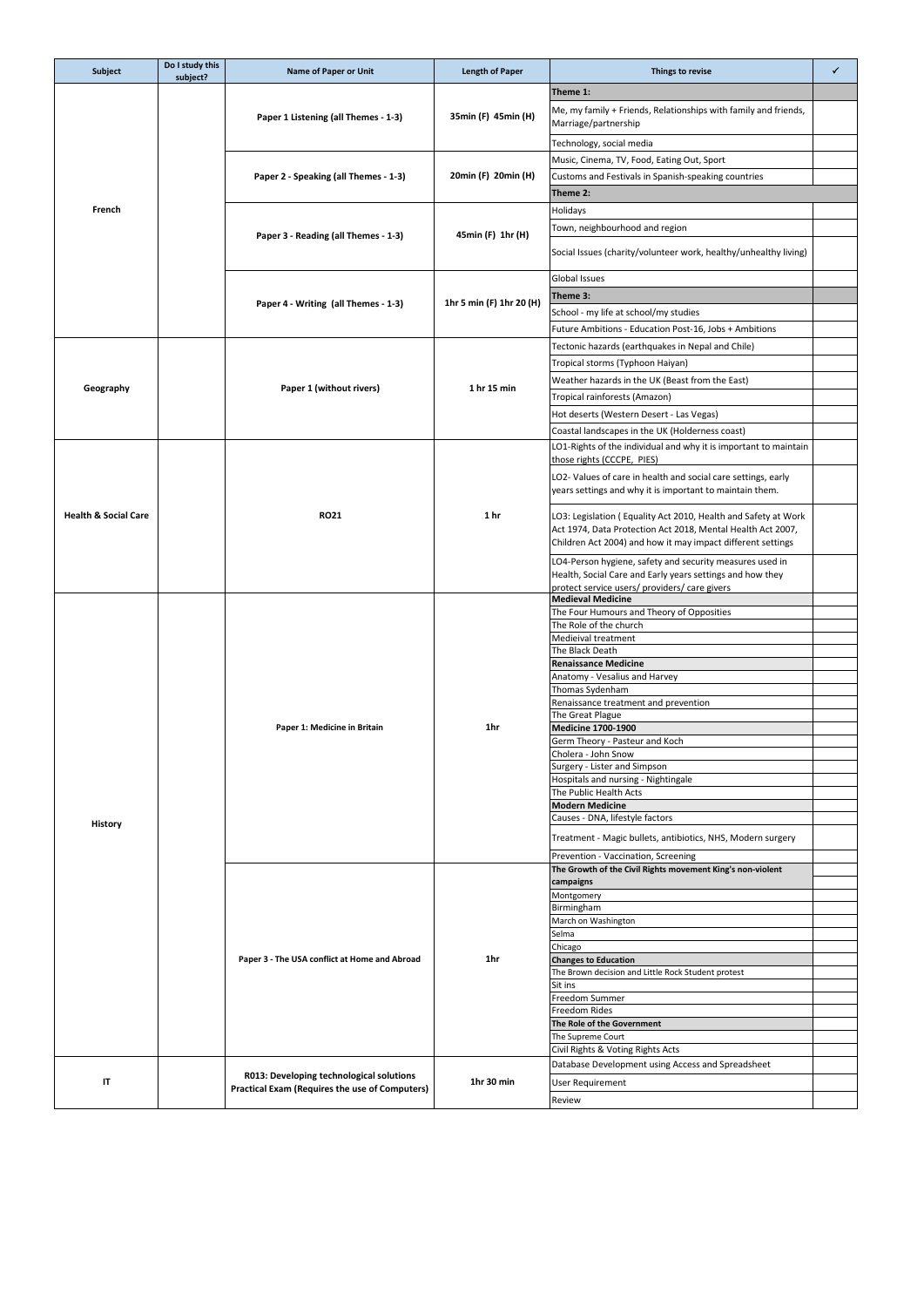| Subject                         | Do I study this<br>subject? | Name of Paper or Unit                                                                      | <b>Length of Paper</b>   | Things to revise                                                                                                                                                                             | ✓ |
|---------------------------------|-----------------------------|--------------------------------------------------------------------------------------------|--------------------------|----------------------------------------------------------------------------------------------------------------------------------------------------------------------------------------------|---|
|                                 |                             | Paper 1 Listening (all Themes - 1-3)                                                       | 35min (F) 45min (H)      | Theme 1:                                                                                                                                                                                     |   |
|                                 |                             |                                                                                            |                          | Me, my family + Friends, Relationships with family and friends,<br>Marriage/partnership                                                                                                      |   |
|                                 |                             |                                                                                            |                          | Technology, social media                                                                                                                                                                     |   |
|                                 |                             |                                                                                            |                          | Music, Cinema, TV, Food, Eating Out, Sport                                                                                                                                                   |   |
|                                 |                             | Paper 2 - Speaking (all Themes - 1-3)                                                      | 20min (F) 20min (H)      | Customs and Festivals in Spanish-speaking countries                                                                                                                                          |   |
|                                 |                             |                                                                                            |                          | Theme 2:                                                                                                                                                                                     |   |
| French                          |                             |                                                                                            |                          | Holidays                                                                                                                                                                                     |   |
|                                 |                             |                                                                                            |                          | Town, neighbourhood and region                                                                                                                                                               |   |
|                                 |                             | Paper 3 - Reading (all Themes - 1-3)                                                       | 45min (F) 1hr (H)        | Social Issues (charity/volunteer work, healthy/unhealthy living)                                                                                                                             |   |
|                                 |                             |                                                                                            |                          | Global Issues                                                                                                                                                                                |   |
|                                 |                             |                                                                                            |                          | Theme 3:                                                                                                                                                                                     |   |
|                                 |                             | Paper 4 - Writing (all Themes - 1-3)                                                       | 1hr 5 min (F) 1hr 20 (H) | School - my life at school/my studies                                                                                                                                                        |   |
|                                 |                             |                                                                                            |                          | Future Ambitions - Education Post-16, Jobs + Ambitions                                                                                                                                       |   |
|                                 |                             |                                                                                            |                          |                                                                                                                                                                                              |   |
|                                 |                             |                                                                                            |                          | Tectonic hazards (earthquakes in Nepal and Chile)                                                                                                                                            |   |
|                                 |                             |                                                                                            |                          | Tropical storms (Typhoon Haiyan)                                                                                                                                                             |   |
| Geography                       |                             | Paper 1 (without rivers)                                                                   | 1 hr 15 min              | Weather hazards in the UK (Beast from the East)                                                                                                                                              |   |
|                                 |                             |                                                                                            |                          | Tropical rainforests (Amazon)                                                                                                                                                                |   |
|                                 |                             |                                                                                            |                          | Hot deserts (Western Desert - Las Vegas)                                                                                                                                                     |   |
|                                 |                             |                                                                                            |                          | Coastal landscapes in the UK (Holderness coast)                                                                                                                                              |   |
|                                 |                             |                                                                                            |                          | LO1-Rights of the individual and why it is important to maintain                                                                                                                             |   |
|                                 |                             |                                                                                            |                          | those rights (CCCPE, PIES)                                                                                                                                                                   |   |
|                                 |                             |                                                                                            |                          | LO2- Values of care in health and social care settings, early<br>years settings and why it is important to maintain them.                                                                    |   |
| <b>Health &amp; Social Care</b> |                             | <b>RO21</b>                                                                                | 1 hr                     | LO3: Legislation (Equality Act 2010, Health and Safety at Work<br>Act 1974, Data Protection Act 2018, Mental Health Act 2007,<br>Children Act 2004) and how it may impact different settings |   |
|                                 |                             |                                                                                            |                          | LO4-Person hygiene, safety and security measures used in<br>Health, Social Care and Early years settings and how they<br>protect service users/ providers/ care givers                       |   |
|                                 |                             |                                                                                            |                          | <b>Medieval Medicine</b>                                                                                                                                                                     |   |
|                                 |                             |                                                                                            |                          | The Four Humours and Theory of Opposities                                                                                                                                                    |   |
|                                 |                             |                                                                                            |                          | The Role of the church                                                                                                                                                                       |   |
|                                 |                             |                                                                                            |                          | Medieival treatment<br>The Black Death                                                                                                                                                       |   |
|                                 |                             |                                                                                            |                          | <b>Renaissance Medicine</b>                                                                                                                                                                  |   |
|                                 |                             |                                                                                            |                          | Anatomy - Vesalius and Harvey                                                                                                                                                                |   |
|                                 |                             |                                                                                            |                          | Thomas Sydenham                                                                                                                                                                              |   |
|                                 |                             |                                                                                            |                          | Renaissance treatment and prevention                                                                                                                                                         |   |
|                                 |                             | Paper 1: Medicine in Britain                                                               | 1hr                      | The Great Plague<br>Medicine 1700-1900                                                                                                                                                       |   |
|                                 |                             |                                                                                            |                          | Germ Theory - Pasteur and Koch                                                                                                                                                               |   |
|                                 |                             |                                                                                            |                          | Cholera - John Snow                                                                                                                                                                          |   |
|                                 |                             |                                                                                            |                          | Surgery - Lister and Simpson                                                                                                                                                                 |   |
|                                 |                             |                                                                                            |                          | Hospitals and nursing - Nightingale<br>The Public Health Acts                                                                                                                                |   |
|                                 |                             |                                                                                            |                          | <b>Modern Medicine</b>                                                                                                                                                                       |   |
| History                         |                             |                                                                                            |                          | Causes - DNA, lifestyle factors                                                                                                                                                              |   |
|                                 |                             |                                                                                            |                          | Treatment - Magic bullets, antibiotics, NHS, Modern surgery                                                                                                                                  |   |
|                                 |                             |                                                                                            |                          | Prevention - Vaccination, Screening<br>The Growth of the Civil Rights movement King's non-violent                                                                                            |   |
|                                 |                             |                                                                                            |                          | campaigns                                                                                                                                                                                    |   |
|                                 |                             |                                                                                            |                          | Montgomery                                                                                                                                                                                   |   |
|                                 |                             |                                                                                            |                          | Birmingham                                                                                                                                                                                   |   |
|                                 |                             |                                                                                            |                          | March on Washington                                                                                                                                                                          |   |
|                                 |                             |                                                                                            |                          | Selma<br>Chicago                                                                                                                                                                             |   |
|                                 |                             | Paper 3 - The USA conflict at Home and Abroad                                              | 1hr                      | <b>Changes to Education</b>                                                                                                                                                                  |   |
|                                 |                             |                                                                                            |                          | The Brown decision and Little Rock Student protest                                                                                                                                           |   |
|                                 |                             |                                                                                            |                          | Sit ins                                                                                                                                                                                      |   |
|                                 |                             |                                                                                            |                          | Freedom Summer<br>Freedom Rides                                                                                                                                                              |   |
|                                 |                             |                                                                                            |                          | The Role of the Government                                                                                                                                                                   |   |
|                                 |                             |                                                                                            |                          | The Supreme Court                                                                                                                                                                            |   |
|                                 |                             |                                                                                            |                          | Civil Rights & Voting Rights Acts                                                                                                                                                            |   |
|                                 |                             | R013: Developing technological solutions<br>Practical Exam (Requires the use of Computers) |                          | Database Development using Access and Spreadsheet                                                                                                                                            |   |
| IT                              |                             |                                                                                            | 1hr 30 min               | User Requirement                                                                                                                                                                             |   |
|                                 |                             |                                                                                            |                          | Review                                                                                                                                                                                       |   |
|                                 |                             |                                                                                            |                          |                                                                                                                                                                                              |   |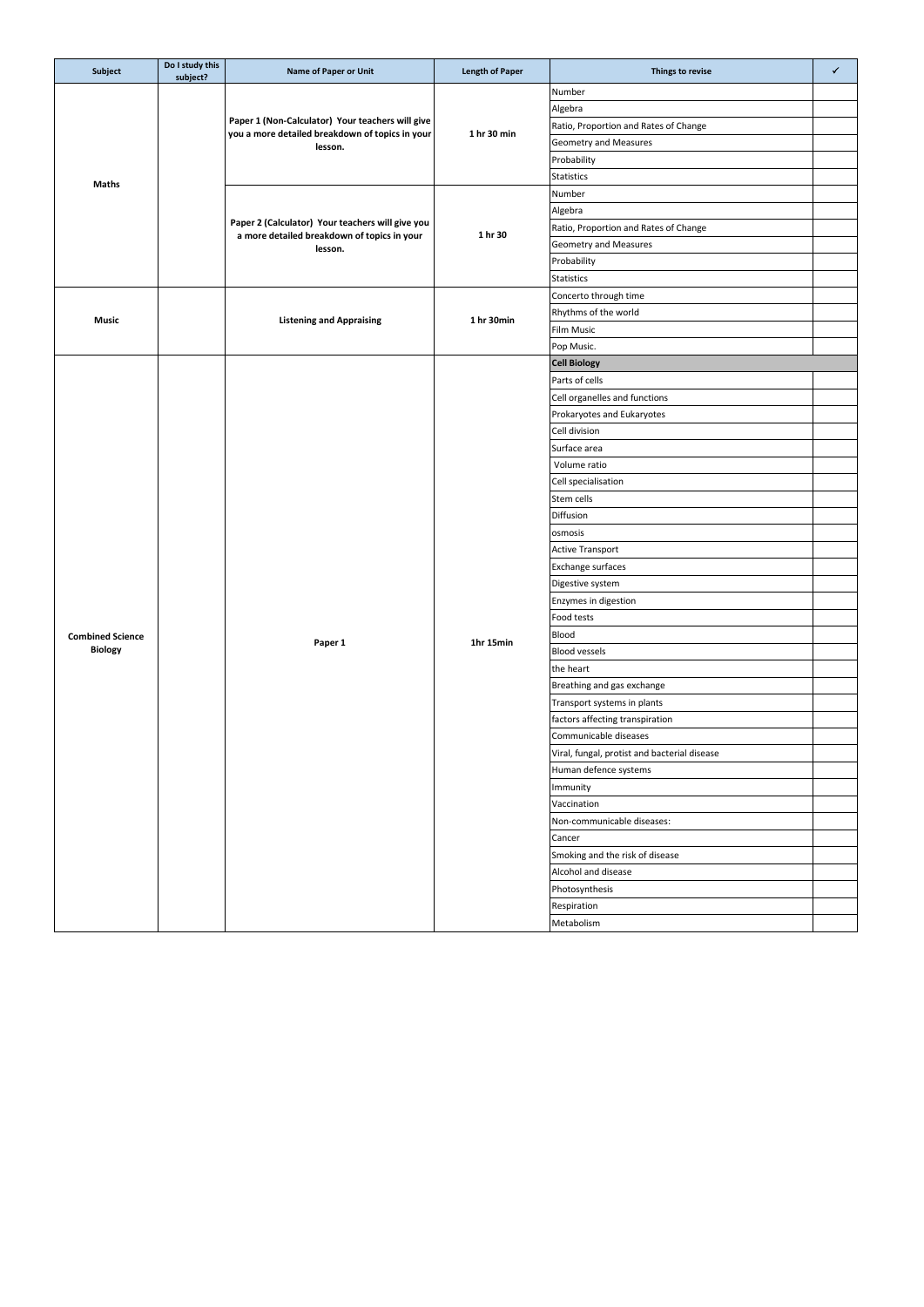| Subject                 | Do I study this<br>subject? | <b>Name of Paper or Unit</b>                               | <b>Length of Paper</b> | Things to revise                             | $\checkmark$ |
|-------------------------|-----------------------------|------------------------------------------------------------|------------------------|----------------------------------------------|--------------|
|                         |                             |                                                            |                        | Number                                       |              |
|                         |                             |                                                            |                        | Algebra                                      |              |
|                         |                             | Paper 1 (Non-Calculator) Your teachers will give           |                        | Ratio, Proportion and Rates of Change        |              |
|                         |                             | you a more detailed breakdown of topics in your<br>lesson. | 1 hr 30 min            | Geometry and Measures                        |              |
|                         |                             |                                                            |                        | Probability                                  |              |
|                         |                             |                                                            |                        | Statistics                                   |              |
| Maths                   |                             |                                                            |                        | Number                                       |              |
|                         |                             |                                                            |                        | Algebra                                      |              |
|                         |                             | Paper 2 (Calculator) Your teachers will give you           | 1 hr 30                | Ratio, Proportion and Rates of Change        |              |
|                         |                             | a more detailed breakdown of topics in your<br>lesson.     |                        | Geometry and Measures                        |              |
|                         |                             |                                                            |                        | Probability                                  |              |
|                         |                             |                                                            |                        | Statistics                                   |              |
|                         |                             |                                                            |                        | Concerto through time                        |              |
|                         |                             |                                                            | 1 hr 30min             | Rhythms of the world                         |              |
| Music                   |                             | <b>Listening and Appraising</b>                            |                        | Film Music                                   |              |
|                         |                             |                                                            |                        | Pop Music.                                   |              |
|                         |                             |                                                            |                        | <b>Cell Biology</b>                          |              |
|                         |                             |                                                            |                        | Parts of cells                               |              |
|                         |                             |                                                            |                        | Cell organelles and functions                |              |
|                         |                             |                                                            |                        | Prokaryotes and Eukaryotes                   |              |
|                         |                             |                                                            |                        | Cell division                                |              |
|                         |                             |                                                            |                        | Surface area                                 |              |
|                         |                             |                                                            |                        | Volume ratio                                 |              |
|                         |                             |                                                            |                        | Cell specialisation                          |              |
|                         |                             |                                                            |                        | Stem cells                                   |              |
|                         |                             |                                                            |                        | Diffusion                                    |              |
|                         |                             |                                                            |                        | osmosis                                      |              |
|                         |                             |                                                            |                        | <b>Active Transport</b>                      |              |
|                         |                             |                                                            |                        | Exchange surfaces                            |              |
|                         |                             |                                                            |                        | Digestive system                             |              |
|                         |                             |                                                            |                        | Enzymes in digestion                         |              |
|                         |                             |                                                            |                        | Food tests                                   |              |
| <b>Combined Science</b> |                             |                                                            | 1hr 15min              | Blood                                        |              |
| Biology                 |                             | Paper 1                                                    |                        | <b>Blood vessels</b>                         |              |
|                         |                             |                                                            |                        | the heart                                    |              |
|                         |                             |                                                            |                        | Breathing and gas exchange                   |              |
|                         |                             |                                                            |                        | Transport systems in plants                  |              |
|                         |                             |                                                            |                        | factors affecting transpiration              |              |
|                         |                             |                                                            |                        | Communicable diseases                        |              |
|                         |                             |                                                            |                        | Viral, fungal, protist and bacterial disease |              |
|                         |                             |                                                            |                        | Human defence systems                        |              |
|                         |                             |                                                            |                        | Immunity                                     |              |
|                         |                             |                                                            |                        | Vaccination                                  |              |
|                         |                             |                                                            |                        | Non-communicable diseases:                   |              |
|                         |                             |                                                            |                        | Cancer                                       |              |
|                         |                             |                                                            |                        | Smoking and the risk of disease              |              |
|                         |                             |                                                            |                        | Alcohol and disease                          |              |
|                         |                             |                                                            |                        | Photosynthesis                               |              |
|                         |                             |                                                            |                        | Respiration                                  |              |
|                         |                             |                                                            |                        | Metabolism                                   |              |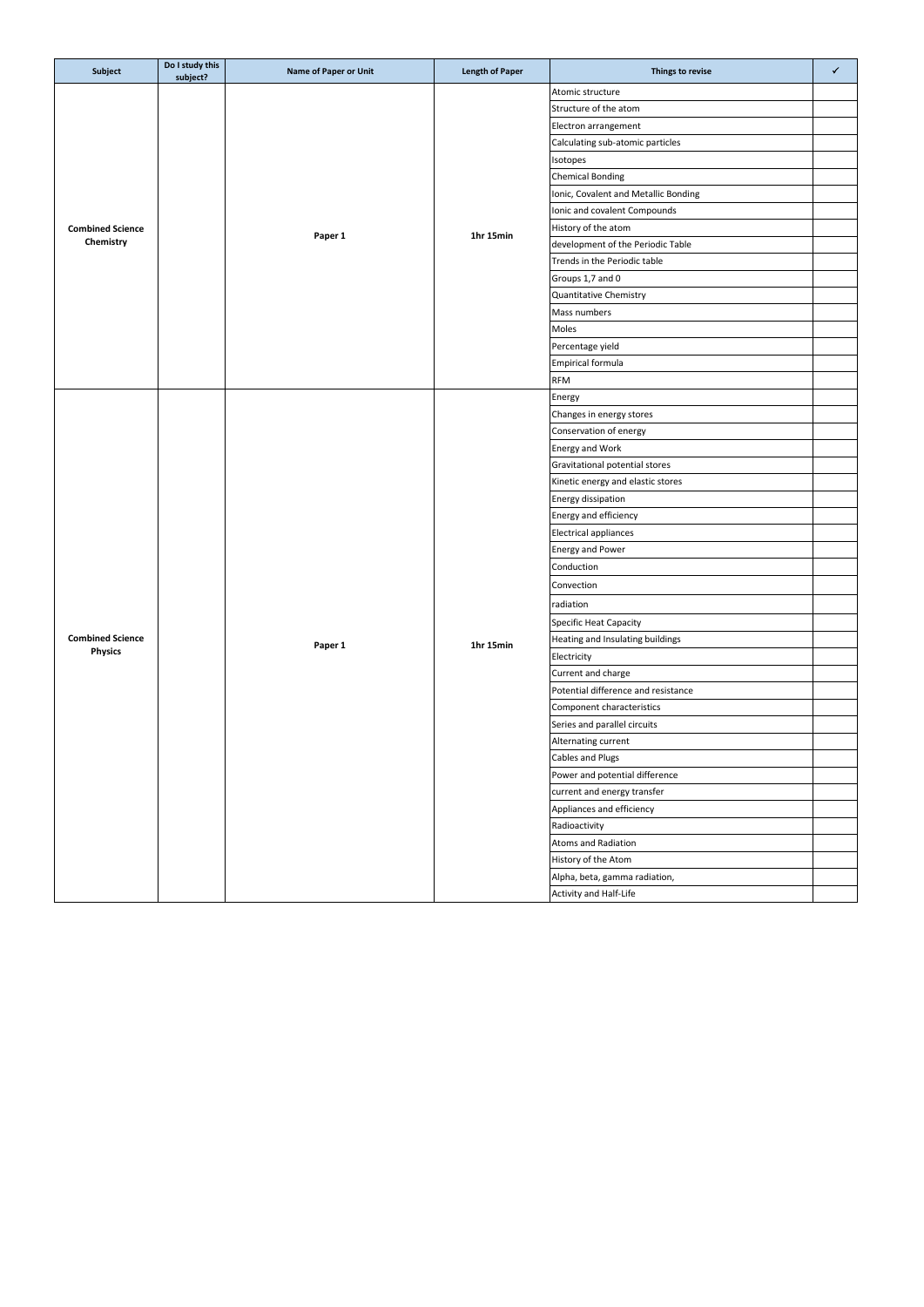| Subject                            | Do I study this<br>subject? | <b>Name of Paper or Unit</b> | <b>Length of Paper</b> | Things to revise                     | ✓ |
|------------------------------------|-----------------------------|------------------------------|------------------------|--------------------------------------|---|
|                                    |                             |                              |                        | Atomic structure                     |   |
|                                    |                             |                              |                        | Structure of the atom                |   |
|                                    |                             |                              |                        | Electron arrangement                 |   |
|                                    |                             |                              |                        | Calculating sub-atomic particles     |   |
|                                    |                             |                              |                        | Isotopes                             |   |
|                                    |                             |                              |                        | <b>Chemical Bonding</b>              |   |
|                                    |                             |                              | 1hr 15min              | Ionic, Covalent and Metallic Bonding |   |
|                                    |                             |                              |                        | Ionic and covalent Compounds         |   |
| <b>Combined Science</b>            |                             |                              |                        | History of the atom                  |   |
| Chemistry                          |                             | Paper 1                      |                        | development of the Periodic Table    |   |
|                                    |                             |                              |                        | Trends in the Periodic table         |   |
|                                    |                             |                              |                        | Groups 1,7 and 0                     |   |
|                                    |                             |                              |                        | Quantitative Chemistry               |   |
|                                    |                             |                              |                        | Mass numbers                         |   |
|                                    |                             |                              |                        | Moles                                |   |
|                                    |                             |                              |                        | Percentage yield                     |   |
|                                    |                             |                              |                        | <b>Empirical formula</b>             |   |
|                                    |                             |                              |                        | <b>RFM</b>                           |   |
|                                    |                             |                              |                        | Energy                               |   |
|                                    |                             |                              |                        | Changes in energy stores             |   |
|                                    |                             |                              |                        | Conservation of energy               |   |
|                                    |                             |                              |                        | Energy and Work                      |   |
|                                    |                             |                              |                        | Gravitational potential stores       |   |
|                                    |                             |                              |                        | Kinetic energy and elastic stores    |   |
|                                    |                             |                              |                        | Energy dissipation                   |   |
|                                    |                             |                              |                        | Energy and efficiency                |   |
|                                    |                             |                              |                        | Electrical appliances                |   |
|                                    |                             | Paper 1                      |                        | Energy and Power                     |   |
|                                    |                             |                              |                        | Conduction                           |   |
|                                    |                             |                              |                        | Convection                           |   |
|                                    |                             |                              |                        |                                      |   |
|                                    |                             |                              |                        | radiation                            |   |
|                                    |                             |                              |                        | Specific Heat Capacity               |   |
| <b>Combined Science</b><br>Physics |                             |                              | 1hr 15min              | Heating and Insulating buildings     |   |
|                                    |                             |                              |                        | Electricity                          |   |
|                                    |                             |                              |                        | Current and charge                   |   |
|                                    |                             |                              |                        | Potential difference and resistance  |   |
|                                    |                             |                              |                        | Component characteristics            |   |
|                                    |                             |                              |                        | Series and parallel circuits         |   |
|                                    |                             |                              |                        | Alternating current                  |   |
|                                    |                             |                              |                        | <b>Cables and Plugs</b>              |   |
|                                    |                             |                              |                        | Power and potential difference       |   |
|                                    |                             |                              |                        | current and energy transfer          |   |
|                                    |                             |                              |                        | Appliances and efficiency            |   |
|                                    |                             |                              |                        | Radioactivity                        |   |
|                                    |                             |                              |                        | Atoms and Radiation                  |   |
|                                    |                             |                              |                        | History of the Atom                  |   |
|                                    |                             |                              |                        | Alpha, beta, gamma radiation,        |   |
|                                    |                             |                              |                        | Activity and Half-Life               |   |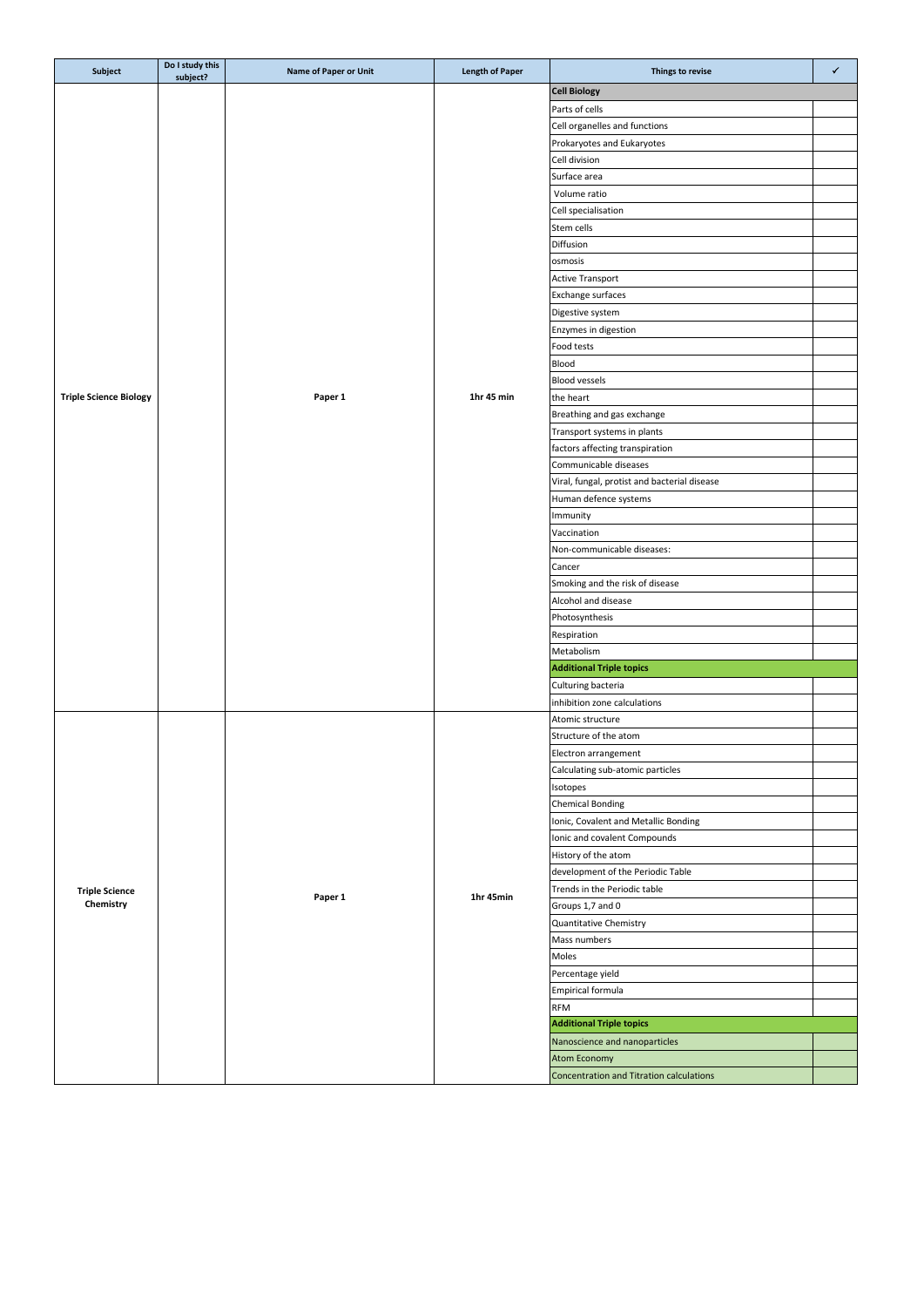| Subject                       | Do I study this<br>subject? | Name of Paper or Unit | <b>Length of Paper</b> | Things to revise                             | ✓ |
|-------------------------------|-----------------------------|-----------------------|------------------------|----------------------------------------------|---|
|                               |                             |                       |                        | <b>Cell Biology</b>                          |   |
|                               |                             |                       |                        | Parts of cells                               |   |
|                               |                             |                       |                        | Cell organelles and functions                |   |
|                               |                             |                       |                        | Prokaryotes and Eukaryotes                   |   |
|                               |                             |                       |                        | Cell division                                |   |
|                               |                             |                       |                        | Surface area                                 |   |
|                               |                             |                       |                        |                                              |   |
|                               |                             |                       |                        | Volume ratio                                 |   |
|                               |                             |                       |                        | Cell specialisation                          |   |
|                               |                             |                       |                        | Stem cells                                   |   |
|                               |                             |                       |                        | Diffusion                                    |   |
|                               |                             |                       |                        | osmosis                                      |   |
|                               |                             |                       |                        | <b>Active Transport</b>                      |   |
|                               |                             |                       |                        | Exchange surfaces                            |   |
|                               |                             |                       |                        | Digestive system                             |   |
|                               |                             |                       |                        | Enzymes in digestion                         |   |
|                               |                             |                       |                        | Food tests                                   |   |
|                               |                             |                       |                        | Blood                                        |   |
|                               |                             |                       |                        |                                              |   |
|                               |                             |                       |                        | Blood vessels                                |   |
| <b>Triple Science Biology</b> |                             | Paper 1               | 1hr 45 min             | the heart                                    |   |
|                               |                             |                       |                        | Breathing and gas exchange                   |   |
|                               |                             |                       |                        | Transport systems in plants                  |   |
|                               |                             |                       |                        | factors affecting transpiration              |   |
|                               |                             |                       |                        | Communicable diseases                        |   |
|                               |                             |                       |                        | Viral, fungal, protist and bacterial disease |   |
|                               |                             |                       |                        | Human defence systems                        |   |
|                               |                             |                       |                        | Immunity                                     |   |
|                               |                             |                       |                        | Vaccination                                  |   |
|                               |                             |                       |                        | Non-communicable diseases:                   |   |
|                               |                             |                       |                        |                                              |   |
|                               |                             |                       |                        | Cancer                                       |   |
|                               |                             |                       |                        | Smoking and the risk of disease              |   |
|                               |                             |                       |                        | Alcohol and disease                          |   |
|                               |                             |                       |                        | Photosynthesis                               |   |
|                               |                             |                       |                        | Respiration                                  |   |
|                               |                             |                       |                        | Metabolism                                   |   |
|                               |                             |                       |                        | <b>Additional Triple topics</b>              |   |
|                               |                             |                       |                        | Culturing bacteria                           |   |
|                               |                             |                       |                        | inhibition zone calculations                 |   |
|                               |                             |                       |                        | Atomic structure                             |   |
|                               |                             | Paper 1               |                        | Structure of the atom                        |   |
|                               |                             |                       |                        | Electron arrangement                         |   |
|                               |                             |                       |                        | Calculating sub-atomic particles             |   |
|                               |                             |                       |                        |                                              |   |
|                               |                             |                       |                        | Isotopes                                     |   |
|                               |                             |                       |                        | <b>Chemical Bonding</b>                      |   |
|                               |                             |                       |                        | Ionic, Covalent and Metallic Bonding         |   |
|                               |                             |                       |                        | Ionic and covalent Compounds                 |   |
|                               |                             |                       |                        | History of the atom                          |   |
|                               |                             |                       |                        | development of the Periodic Table            |   |
| <b>Triple Science</b>         |                             |                       |                        | Trends in the Periodic table                 |   |
| Chemistry                     |                             |                       | 1hr 45min              | Groups 1,7 and 0                             |   |
|                               |                             |                       |                        | Quantitative Chemistry                       |   |
|                               |                             |                       |                        | Mass numbers                                 |   |
|                               |                             |                       |                        | Moles                                        |   |
|                               |                             |                       |                        |                                              |   |
|                               |                             |                       |                        | Percentage yield                             |   |
|                               |                             |                       |                        | Empirical formula                            |   |
|                               |                             |                       |                        | <b>RFM</b>                                   |   |
|                               |                             |                       |                        | <b>Additional Triple topics</b>              |   |
|                               |                             |                       |                        | Nanoscience and nanoparticles                |   |
|                               |                             |                       |                        | <b>Atom Economy</b>                          |   |
|                               |                             |                       |                        | Concentration and Titration calculations     |   |
|                               |                             |                       |                        |                                              |   |